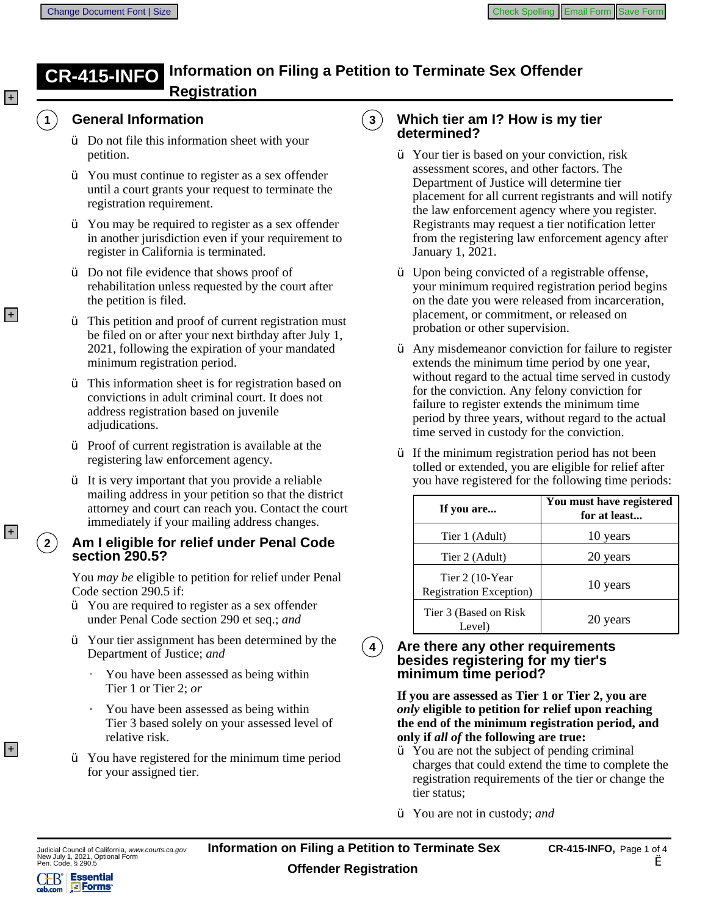# **CR-415-INFO** Information on Filing a Petition to Terminate Sex Offender<br>Registration

 $\overline{\mathbf{3}}$ 



 $|+|$ 

## **General Information**

- $\ddot{y}$  Do not file this information sheet with your petition.
- $\gamma$  You must continue to register as a sex offender until a court grants your request to terminate the registration requirement.
- $\gamma$  You may be required to register as a sex offender in another jurisdiction even if your requirement to register in California is terminated.
- $\ddot{Y}$  Do not file evidence that shows proof of rehabilitation unless requested by the court after the petition is filed.
- $\ddot{y}$  This petition and proof of current registration must be filed on or after your next birthday after July 1, 2021, following the expiration of your mandated minimum registration period.
- $\ddot{y}$  This information sheet is for registration based on convictions in adult criminal court. It does not address registration based on juvenile adjudications.
- $\ddot{y}$  Proof of current registration is available at the registering law enforcement agency.
- $\hat{y}$  It is very important that you provide a reliable mailing address in your petition so that the district attorney and court can reach you. Contact the court immediately if your mailing address changes.

### **Am** I eligible for relief under Penal Code section 290.5?

You may be eligible to petition for relief under Penal Code section 290.5 if:

- Ϋ́ You are required to register as a sex offender under Penal Code section 290 et seq.; and
- $\gamma$  Your tier assignment has been determined by the Department of Justice; and
	- You have been assessed as being within í. Tier 1 or Tier 2; or
	- You have been assessed as being within Tier 3 based solely on your assessed level of relative risk.
- $\gamma$  You have registered for the minimum time period for your assigned tier.

### **Which tier am I? How is my tier** determined?

- $\hat{Y}$  Your tier is based on your conviction, risk assessment scores, and other factors. The Department of Justice will determine tier placement for all current registrants and will notify the law enforcement agency where you register. Registrants may request a tier notification letter from the registering law enforcement agency after January 1, 2021.
- Y Upon being convicted of a registrable offense, your minimum required registration period begins on the date you were released from incarceration, placement, or commitment, or released on probation or other supervision.
- $\gamma$  Any misdemeanor conviction for failure to register extends the minimum time period by one year, without regard to the actual time served in custody for the conviction. Any felony conviction for failure to register extends the minimum time period by three years, without regard to the actual time served in custody for the conviction.
- Ϋ́ If the minimum registration period has not been tolled or extended, you are eligible for relief after you have registered for the following time periods:

| If you are                                        | You must have registered<br>for at least |
|---------------------------------------------------|------------------------------------------|
| Tier 1 (Adult)                                    | 10 years                                 |
| Tier 2 (Adult)                                    | 20 years                                 |
| Tier 2 (10-Year<br><b>Registration Exception)</b> | 10 years                                 |
| Tier 3 (Based on Risk)<br>Level)                  | 20 years                                 |

#### Are there any other requirements  $\overline{4}$ besides registering for my tier's minimum time period?

If you are assessed as Tier 1 or Tier 2, you are *only* eligible to petition for relief upon reaching the end of the minimum registration period, and only if all of the following are true:

- $\ddot{y}$  You are not the subject of pending criminal charges that could extend the time to complete the registration requirements of the tier or change the tier status:
- $\hat{Y}$  You are not in custody; and



 $+$ 

+

 $+$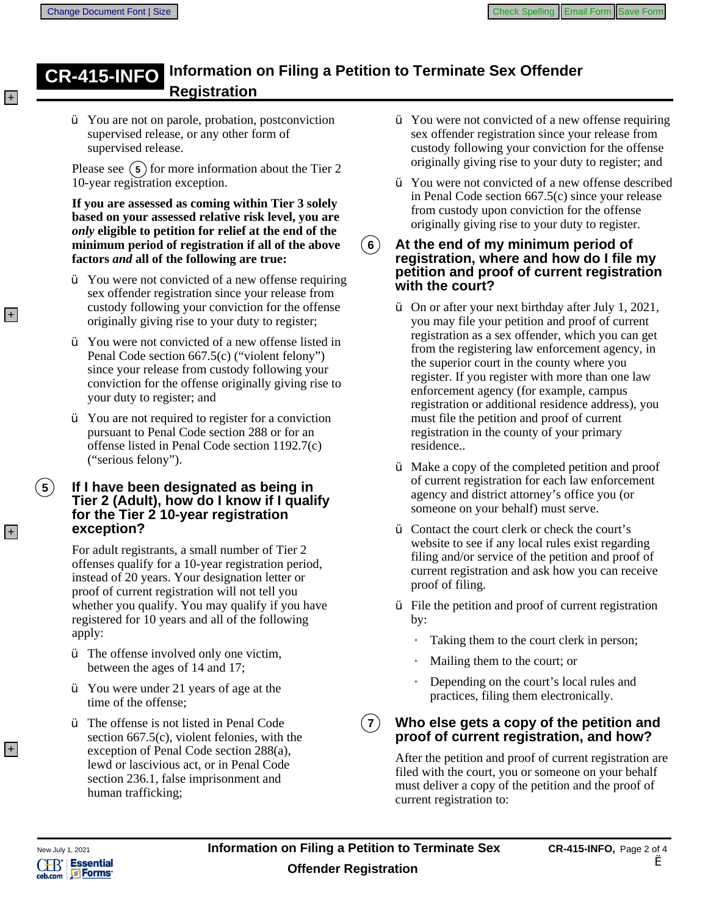# **CR-415-INFO** Information on Filing a Petition to Terminate Sex Offender<br>Registration

 $\hat{Y}$  You are not on parole, probation, postconviction supervised release, or any other form of supervised release.

Please see  $(5)$  for more information about the Tier 2 10-year registration exception.

If you are assessed as coming within Tier 3 solely based on your assessed relative risk level, you are *only* eligible to petition for relief at the end of the minimum period of registration if all of the above factors and all of the following are true:

- Ÿ You were not convicted of a new offense requiring sex offender registration since your release from custody following your conviction for the offense originally giving rise to your duty to register;
- $\ddot{Y}$  You were not convicted of a new offense listed in Penal Code section 667.5(c) ("violent felony") since your release from custody following your conviction for the offense originally giving rise to your duty to register; and
- $\ddot{Y}$  You are not required to register for a conviction pursuant to Penal Code section 288 or for an offense listed in Penal Code section 1192.7(c) ("serious felony").

### If I have been designated as being in Tier 2 (Adult), how do I know if I qualify for the Tier 2 10-year registration exception?

For adult registrants, a small number of Tier 2 offenses qualify for a 10-year registration period, instead of 20 years. Your designation letter or proof of current registration will not tell you whether you qualify. You may qualify if you have registered for 10 years and all of the following apply:

- $\ddot{y}$  The offense involved only one victim, between the ages of 14 and 17;
- $\hat{Y}$  You were under 21 years of age at the time of the offense;
- $\ddot{V}$  The offense is not listed in Penal Code section  $667.5(c)$ , violent felonies, with the exception of Penal Code section 288(a), lewd or lascivious act, or in Penal Code section 236.1, false imprisonment and human trafficking;
- $\hat{Y}$  You were not convicted of a new offense requiring sex offender registration since your release from custody following your conviction for the offense originally giving rise to your duty to register; and
- $\ddot{Y}$  You were not convicted of a new offense described in Penal Code section  $667.5(c)$  since your release from custody upon conviction for the offense originally giving rise to your duty to register.
- $(6)$ At the end of my minimum period of **registration, where and how do I file my** petition and proof of current registration with the court?
	- On or after your next birthday after July 1, 2021, you may file your petition and proof of current registration as a sex offender, which you can get from the registering law enforcement agency, in the superior court in the county where you register. If you register with more than one law enforcement agency (for example, campus registration or additional residence address), you must file the petition and proof of current registration in the county of your primary residence..
	- Ϋ́ Make a copy of the completed petition and proof of current registration for each law enforcement agency and district attorney's office you (or someone on your behalf) must serve.
	- $\ddot{y}$  Contact the court clerk or check the court's website to see if any local rules exist regarding filing and/or service of the petition and proof of current registration and ask how you can receive proof of filing.
	- $\hat{Y}$  File the petition and proof of current registration by:
		- Taking them to the court clerk in person;
		- Mailing them to the court; or
		- Depending on the court's local rules and practices, filing them electronically.

Who else gets a copy of the petition and  $7)$ proof of current registration, and how?

After the petition and proof of current registration are. filed with the court, you or someone on your behalf must deliver a copy of the petition and the proof of current registration to:



 $(5)$ 

 $+$ 

 $\pm$ 

 $|+|$ 

 $+$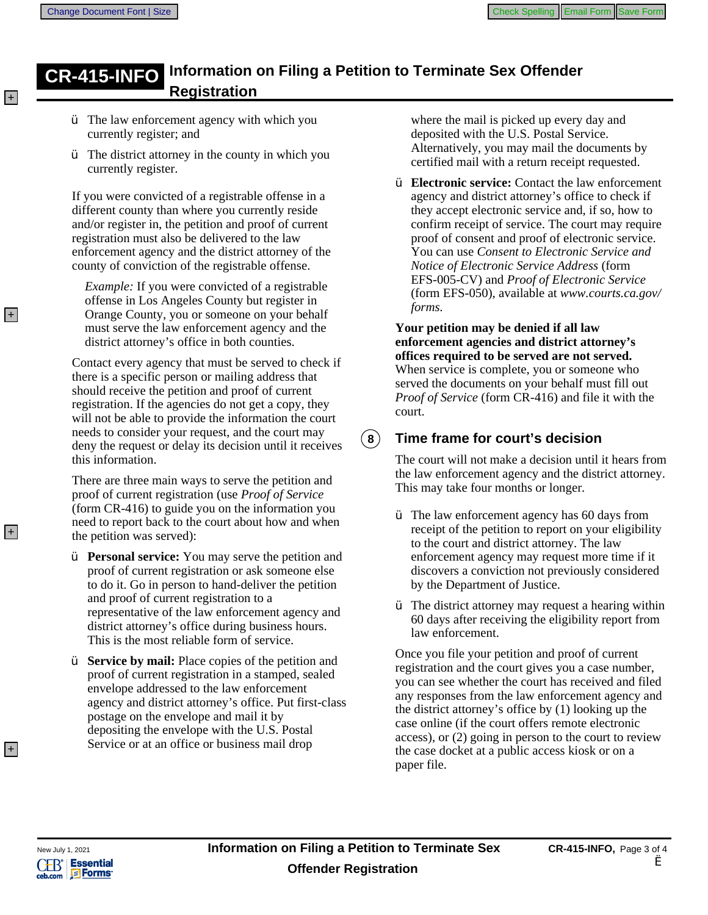#### **Information on Filing a Petition to Terminate Sex Offender CR 4 NFO Registration**

- $\ddot{y}$  The law enforcement agency with which you currently register; and
- $\ddot{y}$  The district attorney in the county in which you currently register.

If you were convicted of a registrable offense in a different county than where you currently reside and/or register in, the petition and proof of current registration must also be delivered to the law enforcement agency and the district attorney of the county of conviction of the registrable offense.

*Example:* If you were convicted of a registrable offense in Los Angeles County but register in Orange County, you or someone on your behalf must serve the law enforcement agency and the district attorney's office in both counties.

Contact every agency that must be served to check if there is a specific person or mailing address that should receive the petition and proof of current registration. If the agencies do not get a copy, they will not be able to provide the information the court needs to consider your request, and the court may deny the request or delay its decision until it receives this information.

There are three main ways to serve the petition and proof of current registration (use Proof of Service (form  $CR-416$ ) to guide you on the information you need to report back to the court about how and when the petition was served):

 $\hat{Y}$  **Personal service:** You may serve the petition and proof of current registration or ask someone else to do it. Go in person to hand-deliver the petition and proof of current registration to a representative of the law enforcement agency and district attorney's office during business hours. This is the most reliable form of service.

Y **Service by mail:** Place copies of the petition and proof of current registration in a stamped, sealed envelope addressed to the law enforcement agency and district attorney's office. Put first-class postage on the envelope and mail it by depositing the envelope with the U.S. Postal Service or at an office or business mail drop

where the mail is picked up every day and deposited with the U.S. Postal Service. Alternatively, you may mail the documents by certified mail with a return receipt requested.

Ϋ́ **Electronic service:** Contact the law enforcement agency and district attorney's office to check if they accept electronic service and, if so, how to confirm receipt of service. The court may require proof of consent and proof of electronic service. You can use Consent to Electronic Service and *Notice of Electronic Service Address* (form EFS-005-CV) and *Proof of Electronic Service* (form EFS-050), available at www.courts.ca.gov/ forms.

Your petition may be denied if all law enforcement agencies and district attorney's offices required to be served are not served. When service is complete, you or someone who served the documents on your behalf must fill out *Proof of Service* (form CR-416) and file it with the court.

## **Time frame for court's decision**

The court will not make a decision until it hears from the law enforcement agency and the district attorney. This may take four months or longer.

- $\ddot{y}$  The law enforcement agency has 60 days from receipt of the petition to report on your eligibility to the court and district attorney. The law enforcement agency may request more time if it discovers a conviction not previously considered by the Department of Justice.
- $\hat{Y}$  The district attorney may request a hearing within 60 days after receiving the eligibility report from law enforcement.

Once you file your petition and proof of current registration and the court gives you a case number, you can see whether the court has received and filed any responses from the law enforcement agency and the district attorney's office by (1) looking up the case online (if the court offers remote electronic access), or (2) going in person to the court to review the case docket at a public access kiosk or on a paper file.



 $(3)$ 

 $+$ 

 $|+|$ 

 $+$